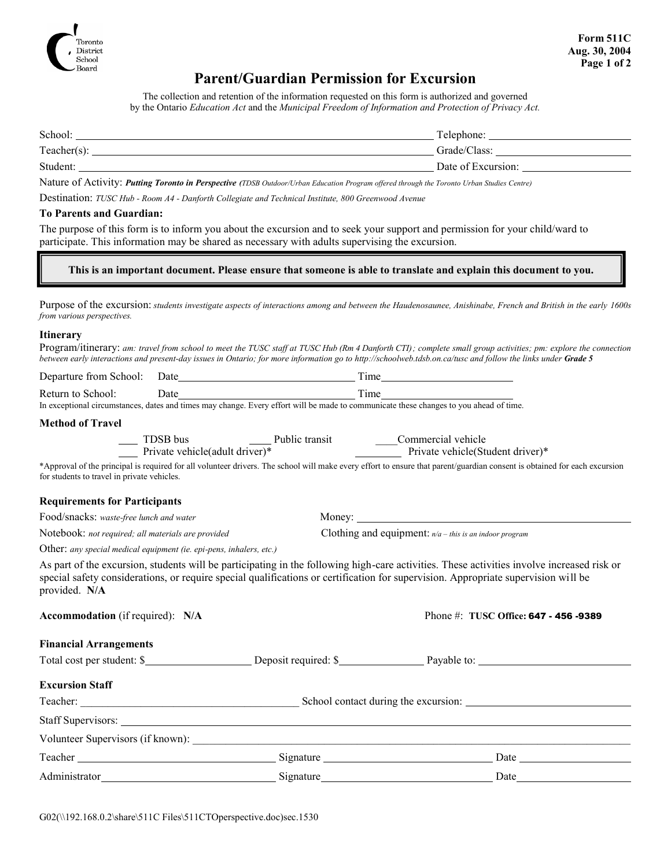

## **Parent/Guardian Permission for Excursion**

The collection and retention of the information requested on this form is authorized and governed by the Ontario *Education Act* and the *Municipal Freedom of Information and Protection of Privacy Act.*

| School:        | Telephone:         |
|----------------|--------------------|
| $Teacher(s)$ : | Grade/Class:       |
| Student:       | Date of Excursion: |

Nature of Activity: Putting Toronto in Perspective (TDSB Outdoor/Urban Education Program offered through the Toronto Urban Studies Centre)

Destination: *TUSC Hub - Room A4 - Danforth Collegiate and Technical Institute, 800 Greenwood Avenue*

#### **To Parents and Guardian:**

The purpose of this form is to inform you about the excursion and to seek your support and permission for your child/ward to participate. This information may be shared as necessary with adults supervising the excursion.

**This is an important document. Please ensure that someone is able to translate and explain this document to you.**

Purpose of the excursion: students investigate aspects of interactions among and between the Haudenosaunee, Anishinabe, French and British in the early 1600s *from various perspectives.*

#### **Itinerary**

Program/itinerary: am: travel from school to meet the TUSC staff at TUSC Hub (Rm 4 Danforth CTI); complete small group activities; pm: explore the connection between early interactions and present-day issues in Ontario; for more information go to http://schoolweb.tdsb.on.ca/tusc and follow the links under Grade 5

|                                                                     | Return to School: Date<br>In exceptional circumstances, dates and times may change. Every effort will be made to communicate these changes to you ahead of time. |                                                                                                                                                                                                                                                                                  |  |
|---------------------------------------------------------------------|------------------------------------------------------------------------------------------------------------------------------------------------------------------|----------------------------------------------------------------------------------------------------------------------------------------------------------------------------------------------------------------------------------------------------------------------------------|--|
|                                                                     |                                                                                                                                                                  |                                                                                                                                                                                                                                                                                  |  |
| <b>Method of Travel</b>                                             |                                                                                                                                                                  |                                                                                                                                                                                                                                                                                  |  |
|                                                                     |                                                                                                                                                                  | TDSB bus Public transit<br>Public transit<br>Public transit<br>Commercial vehicle<br>Private vehicle(Student driver)*                                                                                                                                                            |  |
| for students to travel in private vehicles.                         |                                                                                                                                                                  | *Approval of the principal is required for all volunteer drivers. The school will make every effort to ensure that parent/guardian consent is obtained for each excursion                                                                                                        |  |
| <b>Requirements for Participants</b>                                |                                                                                                                                                                  |                                                                                                                                                                                                                                                                                  |  |
| Food/snacks: waste-free lunch and water                             |                                                                                                                                                                  |                                                                                                                                                                                                                                                                                  |  |
| Notebook: not required; all materials are provided                  |                                                                                                                                                                  | Clothing and equipment: $n/a$ – this is an indoor program                                                                                                                                                                                                                        |  |
| Other: any special medical equipment (ie. epi-pens, inhalers, etc.) |                                                                                                                                                                  |                                                                                                                                                                                                                                                                                  |  |
| provided. N/A                                                       |                                                                                                                                                                  | As part of the excursion, students will be participating in the following high-care activities. These activities involve increased risk or<br>special safety considerations, or require special qualifications or certification for supervision. Appropriate supervision will be |  |
| <b>Accommodation</b> (if required): N/A                             |                                                                                                                                                                  | Phone #: TUSC Office: 647 - 456 -9389                                                                                                                                                                                                                                            |  |
| <b>Financial Arrangements</b>                                       |                                                                                                                                                                  |                                                                                                                                                                                                                                                                                  |  |
|                                                                     |                                                                                                                                                                  | Total cost per student: \$                                                                                                                                                                                                                                                       |  |
| <b>Excursion Staff</b>                                              |                                                                                                                                                                  |                                                                                                                                                                                                                                                                                  |  |
|                                                                     |                                                                                                                                                                  |                                                                                                                                                                                                                                                                                  |  |
|                                                                     |                                                                                                                                                                  |                                                                                                                                                                                                                                                                                  |  |
|                                                                     |                                                                                                                                                                  |                                                                                                                                                                                                                                                                                  |  |
|                                                                     |                                                                                                                                                                  | Date and the same state of the state of the state of the state of the state of the state of the state of the state of the state of the state of the state of the state of the state of the state of the state of the state of                                                    |  |
|                                                                     |                                                                                                                                                                  | Date                                                                                                                                                                                                                                                                             |  |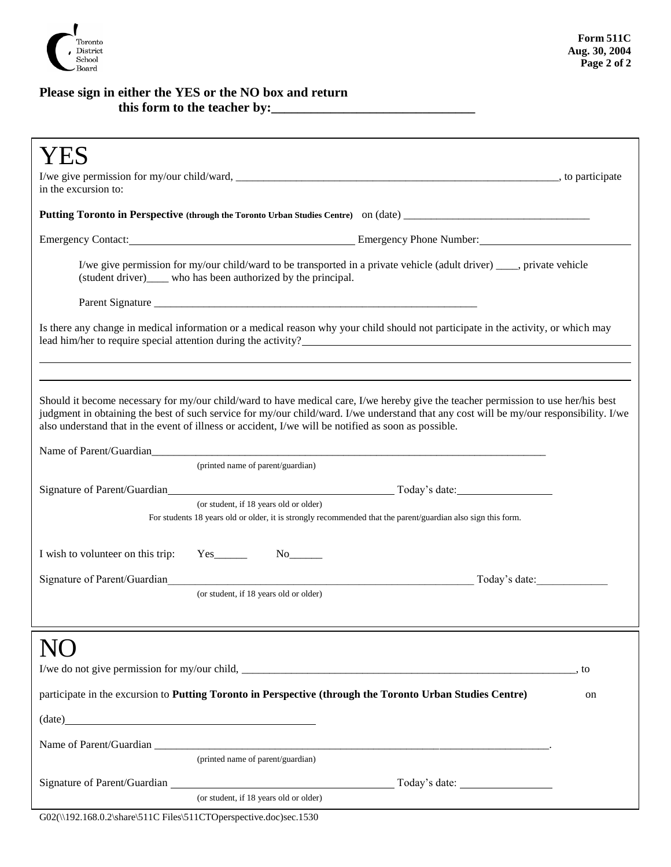

### **Please sign in either the YES or the NO box and return** this form to the teacher by:

| YES                                                                                                                                                                                                                                             |  |  |
|-------------------------------------------------------------------------------------------------------------------------------------------------------------------------------------------------------------------------------------------------|--|--|
|                                                                                                                                                                                                                                                 |  |  |
| in the excursion to:                                                                                                                                                                                                                            |  |  |
|                                                                                                                                                                                                                                                 |  |  |
| Emergency Contact: Emergency Phone Number: Emergency Phone Number:                                                                                                                                                                              |  |  |
| I/we give permission for my/our child/ward to be transported in a private vehicle (adult driver) ____, private vehicle<br>(student driver)_____ who has been authorized by the principal.                                                       |  |  |
|                                                                                                                                                                                                                                                 |  |  |
| Is there any change in medical information or a medical reason why your child should not participate in the activity, or which may<br>lead him/her to require special attention during the activity?                                            |  |  |
| Should it become necessary for my/our child/ward to have medical care, I/we hereby give the teacher permission to use her/his best                                                                                                              |  |  |
| judgment in obtaining the best of such service for my/our child/ward. I/we understand that any cost will be my/our responsibility. I/we<br>also understand that in the event of illness or accident, I/we will be notified as soon as possible. |  |  |
|                                                                                                                                                                                                                                                 |  |  |
| (printed name of parent/guardian)                                                                                                                                                                                                               |  |  |
|                                                                                                                                                                                                                                                 |  |  |
| (or student, if 18 years old or older)<br>For students 18 years old or older, it is strongly recommended that the parent/guardian also sign this form.                                                                                          |  |  |
| I wish to volunteer on this trip:<br>$Yes$ <sub>_________</sub>                                                                                                                                                                                 |  |  |
| Signature of Parent/Guardian<br>Today's date:                                                                                                                                                                                                   |  |  |
| (or student, if 18 years old or older)                                                                                                                                                                                                          |  |  |
|                                                                                                                                                                                                                                                 |  |  |
| , to                                                                                                                                                                                                                                            |  |  |
| participate in the excursion to Putting Toronto in Perspective (through the Toronto Urban Studies Centre)<br>on                                                                                                                                 |  |  |
| $(data)$ $(date)$ $(date)$ $(date)$ $(date)$ $(date)$ $(date)$ $(date)$ $(date)$ $(date)$ $(ensure)$                                                                                                                                            |  |  |
|                                                                                                                                                                                                                                                 |  |  |
| (printed name of parent/guardian)                                                                                                                                                                                                               |  |  |
|                                                                                                                                                                                                                                                 |  |  |
| (or student, if 18 years old or older)<br>G02(\\192.168.0.2\share\511C Files\511CTOperspective.doc)sec.1530                                                                                                                                     |  |  |